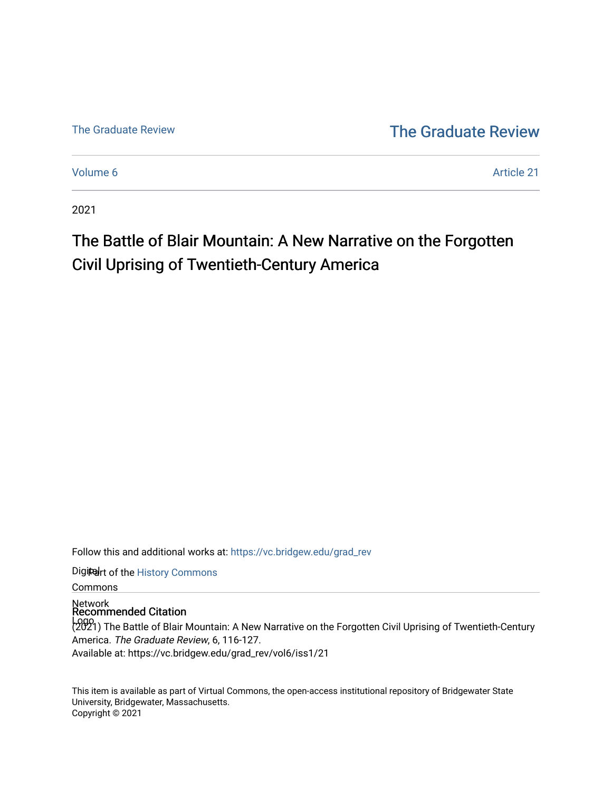[The Graduate Review](http://vc.bridgew.edu/) The Graduate Review

[Volume 6](https://vc.bridgew.edu/grad_rev/vol6) Article 21

2021

## The Battle of Blair Mountain: A New Narrative on the Forgotten Civil Uprising of Twentieth-Century America

Follow this and additional works at: [https://vc.bridgew.edu/grad\\_rev](https://vc.bridgew.edu/grad_rev?utm_source=vc.bridgew.edu%2Fgrad_rev%2Fvol6%2Fiss1%2F21&utm_medium=PDF&utm_campaign=PDFCoverPages) 

Digiteart of the History Commons

Commons

Network Recommended Citation

Logo (2021) The Battle of Blair Mountain: A New Narrative on the Forgotten Civil Uprising of Twentieth-Century America. The Graduate Review, 6, 116-127. Available at: https://vc.bridgew.edu/grad\_rev/vol6/iss1/21

This item is available as part of Virtual Commons, the open-access institutional repository of Bridgewater State University, Bridgewater, Massachusetts. Copyright © 2021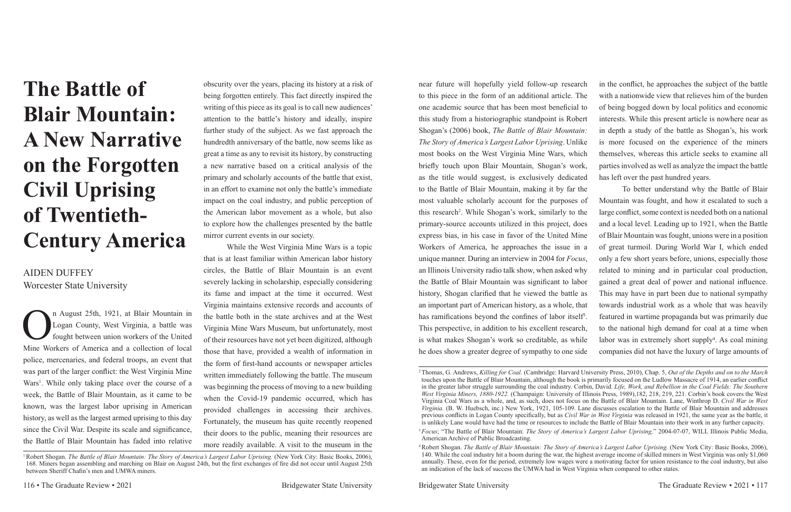# **The Battle of Blair Mountain: A New Narrative on the Forgotten Civil Uprising of Twentieth-Century America**

### AIDEN DUFFEY Worcester State University

n August 25th, 1921, at Blair Mountain in<br>Logan County, West Virginia, a battle was<br>fought between union workers of the United<br>Mine Workers of America and a collection of local Logan County, West Virginia, a battle was fought between union workers of the United Mine Workers of America and a collection of local police, mercenaries, and federal troops, an event that was part of the larger conflict: the West Virginia Mine Wars<sup>1</sup>. While only taking place over the course of a week, the Battle of Blair Mountain, as it came to be known, was the largest labor uprising in American history, as well as the largest armed uprising to this day since the Civil War. Despite its scale and significance, the Battle of Blair Mountain has faded into relative

obscurity over the years, placing its history at a risk of being forgotten entirely. This fact directly inspired the writing of this piece as its goal is to call new audiences' attention to the battle's history and ideally, inspire further study of the subject. As we fast approach the hundredth anniversary of the battle, now seems like as great a time as any to revisit its history, by constructing a new narrative based on a critical analysis of the primary and scholarly accounts of the battle that exist, in an effort to examine not only the battle's immediate impact on the coal industry, and public perception of the American labor movement as a whole, but also to explore how the challenges presented by the battle mirror current events in our society.

While the West Virginia Mine Wars is a topic that is at least familiar within American labor history circles, the Battle of Blair Mountain is an event severely lacking in scholarship, especially considering its fame and impact at the time it occurred. West Virginia maintains extensive records and accounts of the battle both in the state archives and at the West Virginia Mine Wars Museum, but unfortunately, most of their resources have not yet been digitized, although those that have, provided a wealth of information in the form of first-hand accounts or newspaper articles written immediately following the battle. The museum was beginning the process of moving to a new building when the Covid-19 pandemic occurred, which has provided challenges in accessing their archives. Fortunately, the museum has quite recently reopened their doors to the public, meaning their resources are more readily available. A visit to the museum in the

1 Robert Shogan. *The Battle of Blair Mountain: The Story of America's Largest Labor Uprising.* (New York City: Basic Books, 2006), 168. Miners began assembling and marching on Blair on August 24th, but the first exchanges of fire did not occur until August 25th between Sheriff Chafin's men and UMWA miners.

near future will hopefully yield follow-up research to this piece in the form of an additional article. The one academic source that has been most beneficial to this study from a historiographic standpoint is Robert Shogan's (2006) book, *The Battle of Blair Mountain: The Story of America's Largest Labor Uprising*. Unlike most books on the West Virginia Mine Wars, which briefly touch upon Blair Mountain, Shogan's work, as the title would suggest, is exclusively dedicated to the Battle of Blair Mountain, making it by far the most valuable scholarly account for the purposes of this research2 . While Shogan's work, similarly to the primary-source accounts utilized in this project, does express bias, in his case in favor of the United Mine Workers of America, he approaches the issue in a unique manner. During an interview in 2004 for *Focus*, an Illinois University radio talk show, when asked why the Battle of Blair Mountain was significant to labor history, Shogan clarified that he viewed the battle as an important part of American history, as a whole, that has ramifications beyond the confines of labor itself<sup>3</sup>. This perspective, in addition to his excellent research, is what makes Shogan's work so creditable, as while he does show a greater degree of sympathy to one side in the conflict, he approaches the subject of the battle with a nationwide view that relieves him of the burden of being bogged down by local politics and economic interests. While this present article is nowhere near as in depth a study of the battle as Shogan's, his work is more focused on the experience of the miners themselves, whereas this article seeks to examine all parties involved as well as analyze the impact the battle has left over the past hundred years. To better understand why the Battle of Blair Mountain was fought, and how it escalated to such a large conflict, some context is needed both on a national and a local level. Leading up to 1921, when the Battle of Blair Mountain was fought, unions were in a position of great turmoil. During World War I, which ended only a few short years before, unions, especially those related to mining and in particular coal production, gained a great deal of power and national influence. This may have in part been due to national sympathy towards industrial work as a whole that was heavily featured in wartime propaganda but was primarily due to the national high demand for coal at a time when labor was in extremely short supply<sup>4</sup>. As coal mining companies did not have the luxury of large amounts of

<sup>2</sup> Thomas, G. Andrews, *Killing for Coal.* (Cambridge: Harvard University Press, 2010), Chap. 5, *Out of the Depths and on to the March* touches upon the Battle of Blair Mountain, although the book is primarily focused on the Ludlow Massacre of 1914, an earlier conflict in the greater labor struggle surrounding the coal industry. Corbin, David. *Life, Work, and Rebellion in the Coal Fields: The Southern West Virginia Miners, 1880-1922.* (Champaign: University of Illinois Press, 1989),182, 218, 219, 221. Corbin's book covers the West Virginia Coal Wars as a whole, and, as such, does not focus on the Battle of Blair Mountain. Lane, Winthrop D. *Civil War in West Virginia.* (B. W. Huebsch, inc.) New York, 1921, 105-109. Lane discusses escalation to the Battle of Blair Mountain and addresses previous conflicts in Logan County specifically, but as *Civil War in West Virginia* was released in 1921, the same year as the battle, it is unlikely Lane would have had the time or resources to include the Battle of Blair Mountain into their work in any further capacity. <sup>3</sup>*Focus*; "The Battle of Blair Mountain: *The Story of America's Largest Labor Uprising,*" 2004-07-07, WILL Illinois Public Media,

American Archive of Public Broadcasting.

<sup>4</sup> Robert Shogan. *The Battle of Blair Mountain: The Story of America's Largest Labor Uprising.* (New York City: Basic Books, 2006), 140. While the coal industry hit a boom during the war, the highest average income of skilled miners in West Virginia was only \$1,060 annually. These, even for the period, extremely low wages were a motivating factor for union resistance to the coal industry, but also an indication of the lack of success the UMWA had in West Virginia when compared to other states.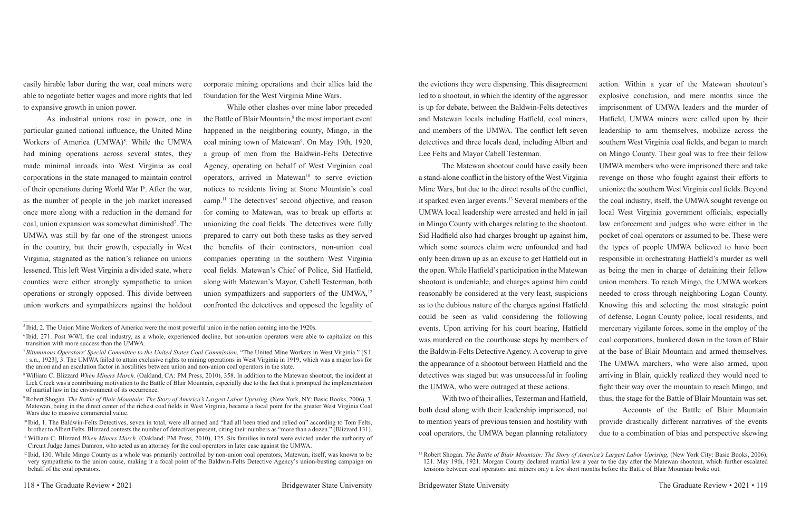easily hirable labor during the war, coal miners were able to negotiate better wages and more rights that led to expansive growth in union power.

As industrial unions rose in power, one in particular gained national influence, the United Mine Workers of America (UMWA)<sup>5</sup>. While the UMWA had mining operations across several states, they made minimal inroads into West Virginia as coal corporations in the state managed to maintain control of their operations during World War I<sup>6</sup>. After the war, as the number of people in the job market increased once more along with a reduction in the demand for coal, union expansion was somewhat diminished7 . The UMWA was still by far one of the strongest unions in the country, but their growth, especially in West Virginia, stagnated as the nation's reliance on unions lessened. This left West Virginia a divided state, where counties were either strongly sympathetic to union operations or strongly opposed. This divide between union workers and sympathizers against the holdout

corporate mining operations and their allies laid the foundation for the West Virginia Mine Wars.

While other clashes over mine labor preceded the Battle of Blair Mountain,<sup>8</sup> the most important event happened in the neighboring county, Mingo, in the coal mining town of Matewan9 . On May 19th, 1920, a group of men from the Baldwin-Felts Detective Agency, operating on behalf of West Virginian coal operators, arrived in Matewan<sup>10</sup> to serve eviction notices to residents living at Stone Mountain's coal camp.11 The detectives' second objective, and reason for coming to Matewan, was to break up efforts at unionizing the coal fields. The detectives were fully prepared to carry out both these tasks as they served the benefits of their contractors, non-union coal companies operating in the southern West Virginia coal fields. Matewan's Chief of Police, Sid Hatfield, along with Matewan's Mayor, Cabell Testerman, both union sympathizers and supporters of the UMWA,<sup>12</sup> confronted the detectives and opposed the legality of

the evictions they were dispensing. This disagreement led to a shootout, in which the identity of the aggressor is up for debate, between the Baldwin-Felts detectives and Matewan locals including Hatfield, coal miners, and members of the UMWA. The conflict left seven detectives and three locals dead, including Albert and The Matewan shootout could have easily been a stand-alone conflict in the history of the West Virginia Mine Wars, but due to the direct results of the conflict, it sparked even larger events.13 Several members of the UMWA local leadership were arrested and held in jail in Mingo County with charges relating to the shootout. Sid Hadfield also had charges brought up against him, which some sources claim were unfounded and had only been drawn up as an excuse to get Hatfield out in the open. While Hatfield's participation in the Matewan shootout is undeniable, and charges against him could reasonably be considered at the very least, suspicions as to the dubious nature of the charges against Hatfield could be seen as valid considering the following events. Upon arriving for his court hearing, Hatfield was murdered on the courthouse steps by members of the Baldwin-Felts Detective Agency. A coverup to give the appearance of a shootout between Hatfield and the detectives was staged but was unsuccessful in fooling the UMWA, who were outraged at these actions. With two of their allies, Testerman and Hatfield, both dead along with their leadership imprisoned, not action. Within a year of the Matewan shootout's explosive conclusion, and mere months since the imprisonment of UMWA leaders and the murder of Hatfield, UMWA miners were called upon by their leadership to arm themselves, mobilize across the southern West Virginia coal fields, and began to march on Mingo County. Their goal was to free their fellow UMWA members who were imprisoned there and take revenge on those who fought against their efforts to unionize the southern West Virginia coal fields. Beyond the coal industry, itself, the UMWA sought revenge on local West Virginia government officials, especially law enforcement and judges who were either in the pocket of coal operators or assumed to be. These were the types of people UMWA believed to have been responsible in orchestrating Hatfield's murder as well as being the men in charge of detaining their fellow union members. To reach Mingo, the UMWA workers needed to cross through neighboring Logan County. Knowing this and selecting the most strategic point of defense, Logan County police, local residents, and mercenary vigilante forces, some in the employ of the coal corporations, bunkered down in the town of Blair at the base of Blair Mountain and armed themselves. The UMWA marchers, who were also armed, upon arriving in Blair, quickly realized they would need to fight their way over the mountain to reach Mingo, and thus, the stage for the Battle of Blair Mountain was set. Accounts of the Battle of Blair Mountain

to mention years of previous tension and hostility with coal operators, the UMWA began planning retaliatory provide drastically different narratives of the events due to a combination of bias and perspective skewing

<sup>&</sup>lt;sup>6</sup>Ibid, 271. Post WWI, the coal industry, as a whole, experienced decline, but non-union operators were able to capitalize on this transition with more success than the UMWA.

<sup>&</sup>lt;sup>5</sup> Ibid, 2. The Union Mine Workers of America were the most powerful union in the nation coming into the 1920s.

<sup>&</sup>lt;sup>10</sup> Ibid, 1. The Baldwin-Felts Detectives, seven in total, were all armed and "had all been tried and relied on" according to Tom Felts, brother to Albert Felts. Blizzard contests the number of detectives present, citing their numbers as "more than a dozen." (Blizzard 131).

<sup>&</sup>lt;sup>12</sup> Ibid, 130. While Mingo County as a whole was primarily controlled by non-union coal operators, Matewan, itself, was known to be very sympathetic to the union cause, making it a focal point of the Baldwin-Felts Detective Agency's union-busting campaign on behalf of the coal operators.

<sup>7</sup>*Bituminous Operators' Special Committee to the United States Coal Commission,* "The United Mine Workers in West Virginia." [S.l. : s.n., 1923], 3. The UMWA failed to attain exclusive rights to mining operations in West Virginia in 1919, which was a major loss for the union and an escalation factor in hostilities between union and non-union coal operators in the state.

<sup>8</sup> William C. Blizzard *When Miners March.* (Oakland, CA: PM Press, 2010), 358. In addition to the Matewan shootout, the incident at Lick Creek was a contributing motivation to the Battle of Blair Mountain, especially due to the fact that it prompted the implementation of martial law in the environment of its occurrence.

<sup>9</sup> Robert Shogan. *The Battle of Blair Mountain: The Story of America's Largest Labor Uprising.* (New York, NY: Basic Books, 2006), 3. Matewan, being in the direct center of the richest coal fields in West Virginia, became a focal point for the greater West Virginia Coal Wars due to massive commercial value.

<sup>11</sup> William C. Blizzard *When Miners March.* (Oakland: PM Press, 2010), 125. Six families in total were evicted under the authority of Circuit Judge James Damron, who acted as an attorney for the coal operators in later case against the UMWA.

<sup>&</sup>lt;sup>13</sup> Robert Shogan. *The Battle of Blair Mountain: The Story of America's Largest Labor Uprising.* (New York City: Basic Books, 2006), 121. May 19th, 1921. Morgan County declared martial law a year to the day after the Matewan shootout, which further escalated tensions between coal operators and miners only a few short months before the Battle of Blair Mountain broke out.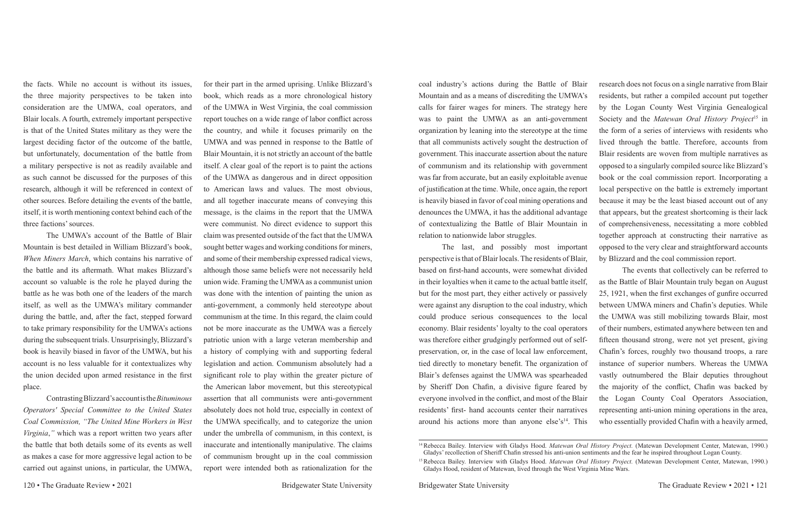the facts. While no account is without its issues, the three majority perspectives to be taken into consideration are the UMWA, coal operators, and Blair locals. A fourth, extremely important perspective is that of the United States military as they were the largest deciding factor of the outcome of the battle, but unfortunately, documentation of the battle from a military perspective is not as readily available and as such cannot be discussed for the purposes of this research, although it will be referenced in context of other sources. Before detailing the events of the battle, itself, it is worth mentioning context behind each of the three factions' sources.

The UMWA's account of the Battle of Blair Mountain is best detailed in William Blizzard's book, *When Miners March*, which contains his narrative of the battle and its aftermath. What makes Blizzard's account so valuable is the role he played during the battle as he was both one of the leaders of the march itself, as well as the UMWA's military commander during the battle, and, after the fact, stepped forward to take primary responsibility for the UMWA's actions during the subsequent trials. Unsurprisingly, Blizzard's book is heavily biased in favor of the UMWA, but his account is no less valuable for it contextualizes why the union decided upon armed resistance in the first place.

Contrasting Blizzard's account is the *Bituminous Operators' Special Committee to the United States Coal Commission, "The United Mine Workers in West Virginia*,*"* which was a report written two years after the battle that both details some of its events as well as makes a case for more aggressive legal action to be carried out against unions, in particular, the UMWA,

for their part in the armed uprising. Unlike Blizzard's book, which reads as a more chronological history of the UMWA in West Virginia, the coal commission report touches on a wide range of labor conflict across the country, and while it focuses primarily on the UMWA and was penned in response to the Battle of Blair Mountain, it is not strictly an account of the battle itself. A clear goal of the report is to paint the actions of the UMWA as dangerous and in direct opposition to American laws and values. The most obvious, and all together inaccurate means of conveying this message, is the claims in the report that the UMWA were communist. No direct evidence to support this claim was presented outside of the fact that the UMWA sought better wages and working conditions for miners, and some of their membership expressed radical views, although those same beliefs were not necessarily held union wide. Framing the UMWA as a communist union was done with the intention of painting the union as anti-government, a commonly held stereotype about communism at the time. In this regard, the claim could not be more inaccurate as the UMWA was a fiercely patriotic union with a large veteran membership and a history of complying with and supporting federal legislation and action. Communism absolutely had a significant role to play within the greater picture of the American labor movement, but this stereotypical assertion that all communists were anti-government absolutely does not hold true, especially in context of the UMWA specifically, and to categorize the union under the umbrella of communism, in this context, is inaccurate and intentionally manipulative. The claims of communism brought up in the coal commission report were intended both as rationalization for the

coal industry's actions during the Battle of Blair Mountain and as a means of discrediting the UMWA's calls for fairer wages for miners. The strategy here was to paint the UMWA as an anti-government organization by leaning into the stereotype at the time that all communists actively sought the destruction of government. This inaccurate assertion about the nature of communism and its relationship with government was far from accurate, but an easily exploitable avenue of justification at the time. While, once again, the report is heavily biased in favor of coal mining operations and denounces the UMWA, it has the additional advantage of contextualizing the Battle of Blair Mountain in relation to nationwide labor struggles. The last, and possibly most important perspective is that of Blair locals. The residents of Blair, research does not focus on a single narrative from Blair residents, but rather a compiled account put together by the Logan County West Virginia Genealogical Society and the *Matewan Oral History Project*15 in the form of a series of interviews with residents who lived through the battle. Therefore, accounts from Blair residents are woven from multiple narratives as opposed to a singularly compiled source like Blizzard's book or the coal commission report. Incorporating a local perspective on the battle is extremely important because it may be the least biased account out of any that appears, but the greatest shortcoming is their lack of comprehensiveness, necessitating a more cobbled together approach at constructing their narrative as opposed to the very clear and straightforward accounts by Blizzard and the coal commission report.

based on first-hand accounts, were somewhat divided in their loyalties when it came to the actual battle itself, but for the most part, they either actively or passively were against any disruption to the coal industry, which could produce serious consequences to the local economy. Blair residents' loyalty to the coal operators was therefore either grudgingly performed out of selfpreservation, or, in the case of local law enforcement, tied directly to monetary benefit. The organization of Blair's defenses against the UMWA was spearheaded by Sheriff Don Chafin, a divisive figure feared by everyone involved in the conflict, and most of the Blair residents' first- hand accounts center their narratives around his actions more than anyone else's $14$ . This The events that collectively can be referred to as the Battle of Blair Mountain truly began on August 25, 1921, when the first exchanges of gunfire occurred between UMWA miners and Chafin's deputies. While the UMWA was still mobilizing towards Blair, most of their numbers, estimated anywhere between ten and fifteen thousand strong, were not yet present, giving Chafin's forces, roughly two thousand troops, a rare instance of superior numbers. Whereas the UMWA vastly outnumbered the Blair deputies throughout the majority of the conflict, Chafin was backed by the Logan County Coal Operators Association, representing anti-union mining operations in the area, who essentially provided Chafin with a heavily armed,

<sup>14</sup> Rebecca Bailey. Interview with Gladys Hood. *Matewan Oral History Project.* (Matewan Development Center, Matewan, 1990.) Gladys' recollection of Sheriff Chafin stressed his anti-union sentiments and the fear he inspired throughout Logan County.

<sup>15</sup> Rebecca Bailey. Interview with Gladys Hood. *Matewan Oral History Project.* (Matewan Development Center, Matewan, 1990.) Gladys Hood, resident of Matewan, lived through the West Virginia Mine Wars.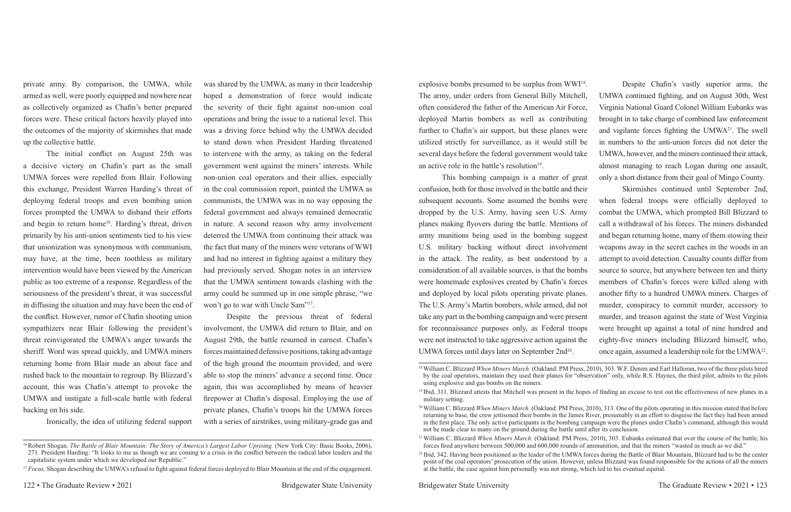private army. By comparison, the UMWA, while armed as well, were poorly equipped and nowhere near as collectively organized as Chafin's better prepared forces were. These critical factors heavily played into the outcomes of the majority of skirmishes that made up the collective battle.

was shared by the UMWA, as many in their leadership hoped a demonstration of force would indicate the severity of their fight against non-union coal operations and bring the issue to a national level. This was a driving force behind why the UMWA decided to stand down when President Harding threatened to intervene with the army, as taking on the federal government went against the miners' interests. While non-union coal operators and their allies, especially in the coal commission report, painted the UMWA as communists, the UMWA was in no way opposing the federal government and always remained democratic in nature. A second reason why army involvement deterred the UMWA from continuing their attack was the fact that many of the miners were veterans of WWI and had no interest in fighting against a military they had previously served. Shogan notes in an interview that the UMWA sentiment towards clashing with the army could be summed up in one simple phrase, "we won't go to war with Uncle Sam"<sup>17</sup>.

The initial conflict on August 25th was a decisive victory on Chafin's part as the small UMWA forces were repelled from Blair. Following this exchange, President Warren Harding's threat of deploying federal troops and even bombing union forces prompted the UMWA to disband their efforts and begin to return home<sup>16</sup>. Harding's threat, driven primarily by his anti-union sentiments tied to his view that unionization was synonymous with communism, may have, at the time, been toothless as military intervention would have been viewed by the American public as too extreme of a response. Regardless of the seriousness of the president's threat, it was successful in diffusing the situation and may have been the end of the conflict. However, rumor of Chafin shooting union sympathizers near Blair following the president's threat reinvigorated the UMWA's anger towards the sheriff. Word was spread quickly, and UMWA miners returning home from Blair made an about face and rushed back to the mountain to regroup. By Blizzard's account, this was Chafin's attempt to provoke the UMWA and instigate a full-scale battle with federal backing on his side.

Ironically, the idea of utilizing federal support

Despite the previous threat of federal involvement, the UMWA did return to Blair, and on August 29th, the battle resumed in earnest. Chafin's forces maintained defensive positions, taking advantage of the high ground the mountain provided, and were able to stop the miners' advance a second time. Once again, this was accomplished by means of heavier firepower at Chafin's disposal. Employing the use of private planes, Chafin's troops hit the UMWA forces with a series of airstrikes, using military-grade gas and

explosive bombs presumed to be surplus from WWI18. The army, under orders from General Billy Mitchell, often considered the father of the American Air Force, deployed Martin bombers as well as contributing further to Chafin's air support, but these planes were utilized strictly for surveillance, as it would still be several days before the federal government would take an active role in the battle's resolution $19$ . This bombing campaign is a matter of great Despite Chafin's vastly superior arms, the UMWA continued fighting, and on August 30th, West Virginia National Guard Colonel William Eubanks was brought in to take charge of combined law enforcement and vigilante forces fighting the UMWA21. The swell in numbers to the anti-union forces did not deter the UMWA, however, and the miners continued their attack, almost managing to reach Logan during one assault, only a short distance from their goal of Mingo County.

confusion, both for those involved in the battle and their subsequent accounts. Some assumed the bombs were dropped by the U.S. Army, having seen U.S. Army planes making flyovers during the battle. Mentions of army munitions being used in the bombing suggest U.S. military backing without direct involvement in the attack. The reality, as best understood by a consideration of all available sources, is that the bombs were homemade explosives created by Chafin's forces and deployed by local pilots operating private planes. The U.S. Army's Martin bombers, while armed, did not take any part in the bombing campaign and were present for reconnaissance purposes only, as Federal troops were not instructed to take aggressive action against the UMWA forces until days later on September 2nd<sup>20</sup>. Skirmishes continued until September 2nd, when federal troops were officially deployed to combat the UMWA, which prompted Bill Blizzard to call a withdrawal of his forces. The miners disbanded and began returning home, many of them stowing their weapons away in the secret caches in the woods in an attempt to avoid detection. Casualty counts differ from source to source, but anywhere between ten and thirty members of Chafin's forces were killed along with another fifty to a hundred UMWA miners. Charges of murder, conspiracy to commit murder, accessory to murder, and treason against the state of West Virginia were brought up against a total of nine hundred and eighty-five miners including Blizzard himself, who, once again, assumed a leadership role for the UMWA22.

18 William C. Blizzard *When Miners March.* (Oakland: PM Press, 2010), 303. W.F. Denim and Earl Halloran, two of the three pilots hired by the coal operators, maintain they used their planes for "observation" only, while R.S. Haynes, the third pilot, admits to the pilots

<sup>19</sup> Ibid, 311. Blizzard attests that Mitchell was present in the hopes of finding an excuse to test out the effectiveness of new planes in a

- 
- at the battle, the case against him personally was not strong, which led to his eventual equital.

<sup>&</sup>lt;sup>16</sup> Robert Shogan. *The Battle of Blair Mountain: The Story of America's Largest Labor Uprising.* (New York City: Basic Books, 2006), 271. President Harding: "It looks to me as though we are coming to a crisis in the conflict between the radical labor leaders and the capitalistic system under which we developed our Republic."

<sup>&</sup>lt;sup>17</sup>*Focus*, Shogan describing the UMWA's refusal to fight against federal forces deployed to Blair Mountain at the end of the engagement.

<sup>&</sup>lt;sup>22</sup> Ibid, 342. Having been positioned as the leader of the UMWA forces during the Battle of Blair Mountain, Blizzard had to be the center point of the coal operators' prosecution of the union. However, unless Blizzard was found responsible for the actions of all the miners

using explosive and gas bombs on the miners.

military setting.

<sup>20</sup> William C. Blizzard *When Miners March.* (Oakland: PM Press, 2010), 313. One of the pilots operating in this mission stated that before returning to base, the crew jettisoned their bombs in the James River, presumably in an effort to disguise the fact they had been armed in the first place. The only active participants in the bombing campaign were the planes under Chafin's command, although this would not be made clear to many on the ground during the battle until after its conclusion.

<sup>21</sup> William C. Blizzard *When Miners March.* (Oakland: PM Press, 2010), 303. Eubanks estimated that over the course of the battle, his forces fired anywhere between 500,000 and 600,000 rounds of ammunition, and that the miners "wasted as much as we did."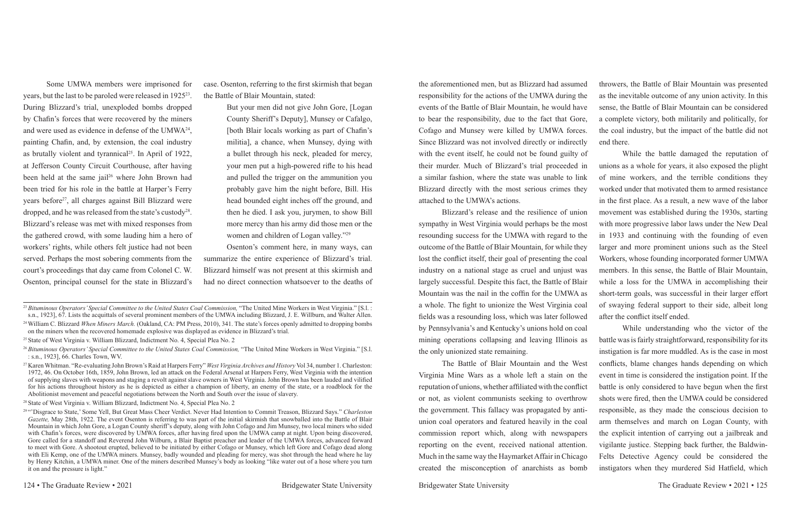Some UMWA members were imprisoned for years, but the last to be paroled were released in 192523. During Blizzard's trial, unexploded bombs dropped by Chafin's forces that were recovered by the miners and were used as evidence in defense of the UMWA24, painting Chafin, and, by extension, the coal industry as brutally violent and tyrannical<sup>25</sup>. In April of 1922, at Jefferson County Circuit Courthouse, after having been held at the same jail<sup>26</sup> where John Brown had been tried for his role in the battle at Harper's Ferry years before27, all charges against Bill Blizzard were dropped, and he was released from the state's custody<sup>28</sup>. Blizzard's release was met with mixed responses from the gathered crowd, with some lauding him a hero of workers' rights, while others felt justice had not been served. Perhaps the most sobering comments from the court's proceedings that day came from Colonel C. W. Osenton, principal counsel for the state in Blizzard's case. Osenton, referring to the first skirmish that began the Battle of Blair Mountain, stated:

But your men did not give John Gore, [Logan County Sheriff's Deputy], Munsey or Cafalgo, [both Blair locals working as part of Chafin's militia], a chance, when Munsey, dying with a bullet through his neck, pleaded for mercy, your men put a high-powered rifle to his head and pulled the trigger on the ammunition you probably gave him the night before, Bill. His head bounded eight inches off the ground, and then he died. I ask you, jurymen, to show Bill more mercy than his army did those men or the women and children of Logan valley."29

Osenton's comment here, in many ways, can summarize the entire experience of Blizzard's trial. Blizzard himself was not present at this skirmish and had no direct connection whatsoever to the deaths of the aforementioned men, but as Blizzard had assumed responsibility for the actions of the UMWA during the events of the Battle of Blair Mountain, he would have to bear the responsibility, due to the fact that Gore, Cofago and Munsey were killed by UMWA forces. Since Blizzard was not involved directly or indirectly throwers, the Battle of Blair Mountain was presented as the inevitable outcome of any union activity. In this sense, the Battle of Blair Mountain can be considered a complete victory, both militarily and politically, for the coal industry, but the impact of the battle did not end there. unions as a whole for years, it also exposed the plight of mine workers, and the terrible conditions they worked under that motivated them to armed resistance in the first place. As a result, a new wave of the labor

with the event itself, he could not be found guilty of their murder. Much of Blizzard's trial proceeded in a similar fashion, where the state was unable to link Blizzard directly with the most serious crimes they attached to the UMWA's actions. Blizzard's release and the resilience of union sympathy in West Virginia would perhaps be the most resounding success for the UMWA with regard to the outcome of the Battle of Blair Mountain, for while they lost the conflict itself, their goal of presenting the coal industry on a national stage as cruel and unjust was largely successful. Despite this fact, the Battle of Blair Mountain was the nail in the coffin for the UMWA as a whole. The fight to unionize the West Virginia coal fields was a resounding loss, which was later followed by Pennsylvania's and Kentucky's unions hold on coal mining operations collapsing and leaving Illinois as the only unionized state remaining. While the battle damaged the reputation of movement was established during the 1930s, starting with more progressive labor laws under the New Deal in 1933 and continuing with the founding of even larger and more prominent unions such as the Steel Workers, whose founding incorporated former UMWA members. In this sense, the Battle of Blair Mountain, while a loss for the UMWA in accomplishing their short-term goals, was successful in their larger effort of swaying federal support to their side, albeit long after the conflict itself ended. While understanding who the victor of the battle was is fairly straightforward, responsibility for its instigation is far more muddled. As is the case in most

The Battle of Blair Mountain and the West Virginia Mine Wars as a whole left a stain on the reputation of unions, whether affiliated with the conflict or not, as violent communists seeking to overthrow the government. This fallacy was propagated by antiunion coal operators and featured heavily in the coal commission report which, along with newspapers reporting on the event, received national attention. Much in the same way the Haymarket Affair in Chicago created the misconception of anarchists as bomb conflicts, blame changes hands depending on which event in time is considered the instigation point. If the battle is only considered to have begun when the first shots were fired, then the UMWA could be considered responsible, as they made the conscious decision to arm themselves and march on Logan County, with the explicit intention of carrying out a jailbreak and vigilante justice. Stepping back further, the Baldwin-Felts Detective Agency could be considered the instigators when they murdered Sid Hatfield, which

<sup>&</sup>lt;sup>24</sup> William C. Blizzard *When Miners March.* (Oakland, CA: PM Press, 2010), 341. The state's forces openly admitted to dropping bombs on the miners when the recovered homemade explosive was displayed as evidence in Blizzard's trial.

<sup>&</sup>lt;sup>25</sup> State of West Virginia v. William Blizzard, Indictment No. 4, Special Plea No. 2

<sup>23</sup>*Bituminous Operators' Special Committee to the United States Coal Commission,* "The United Mine Workers in West Virginia." [S.l. : s.n., 1923], 67. Lists the acquittals of several prominent members of the UMWA including Blizzard, J. E. Willburn, and Walter Allen.

<sup>26</sup>*Bituminous Operators' Special Committee to the United States Coal Commission,* "The United Mine Workers in West Virginia." [S.l. : s.n., 1923], 66. Charles Town, WV.

<sup>27</sup> Karen Whitman. "Re-evaluating John Brown's Raid at Harpers Ferry" *West Virginia Archives and History* Vol 34, number 1. Charleston: 1972, 46. On October 16th, 1859, John Brown, led an attack on the Federal Arsenal at Harpers Ferry, West Virginia with the intention of supplying slaves with weapons and staging a revolt against slave owners in West Virginia. John Brown has been lauded and vilified for his actions throughout history as he is depicted as either a champion of liberty, an enemy of the state, or a roadblock for the Abolitionist movement and peaceful negotiations between the North and South over the issue of slavery.

<sup>28</sup> State of West Virginia v. William Blizzard, Indictment No. 4, Special Plea No. 2

<sup>29 &</sup>quot;'Disgrace to State,' Some Yell, But Great Mass Cheer Verdict. Never Had Intention to Commit Treason, Blizzard Says." *Charleston Gazette,* May 28th, 1922. The event Osenton is referring to was part of the initial skirmish that snowballed into the Battle of Blair Mountain in which John Gore, a Logan County sheriff's deputy, along with John Cofago and Jim Munsey, two local miners who sided with Chafin's forces, were discovered by UMWA forces, after having fired upon the UMWA camp at night. Upon being discovered, Gore called for a standoff and Reverend John Wilburn, a Blair Baptist preacher and leader of the UMWA forces, advanced forward to meet with Gore. A shootout erupted, believed to be initiated by either Cofago or Munsey, which left Gore and Cofago dead along with Eli Kemp, one of the UMWA miners. Munsey, badly wounded and pleading for mercy, was shot through the head where he lay by Henry Kitchin, a UMWA miner. One of the miners described Munsey's body as looking "like water out of a hose where you turn it on and the pressure is light."